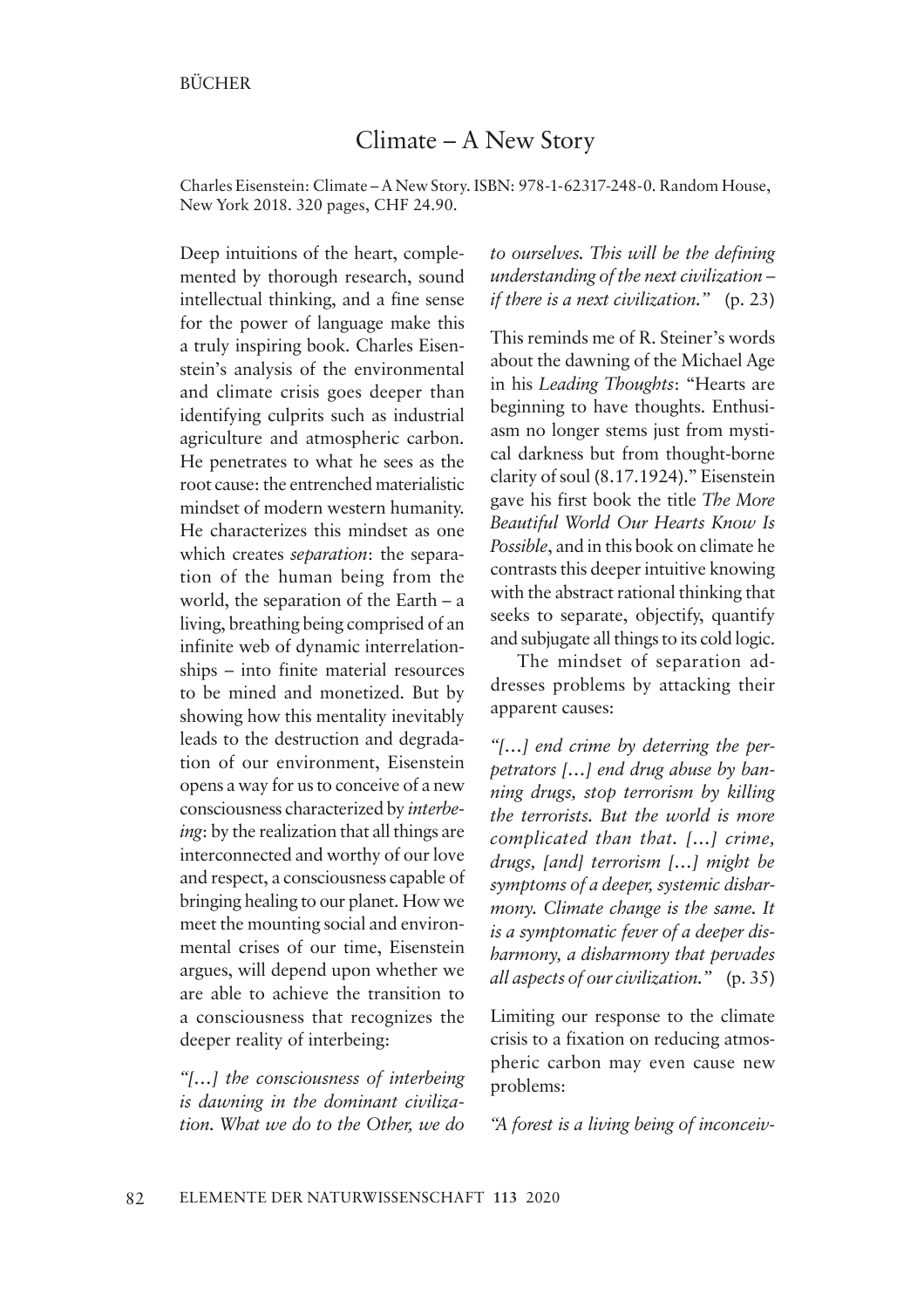## Climate – A New Story

Charles Eisenstein: Climate – A New Story. ISBN: 978-1-62317-248-0. Random House, New York 2018. 320 pages, CHF 24.90.

Deep intuitions of the heart, complemented by thorough research, sound intellectual thinking, and a fine sense for the power of language make this a truly inspiring book. Charles Eisenstein's analysis of the environmental and climate crisis goes deeper than identifying culprits such as industrial agriculture and atmospheric carbon. He penetrates to what he sees as the root cause: the entrenched materialistic mindset of modern western humanity. He characterizes this mindset as one which creates *separation*: the separation of the human being from the world, the separation of the Earth – a living, breathing being comprised of an infinite web of dynamic interrelationships – into finite material resources to be mined and monetized. But by showing how this mentality inevitably leads to the destruction and degradation of our environment, Eisenstein opens a way for us to conceive of a new consciousness characterized by *interbeing*: by the realization that all things are interconnected and worthy of our love and respect, a consciousness capable of bringing healing to our planet. How we meet the mounting social and environmental crises of our time, Eisenstein argues, will depend upon whether we are able to achieve the transition to a consciousness that recognizes the deeper reality of interbeing:

*"[…] the consciousness of interbeing is dawning in the dominant civilization. What we do to the Other, we do*  *to ourselves. This will be the defining understanding of the next civilization – if there is a next civilization."* (p. 23)

This reminds me of R. Steiner's words about the dawning of the Michael Age in his *Leading Thoughts*: "Hearts are beginning to have thoughts. Enthusiasm no longer stems just from mystical darkness but from thought-borne clarity of soul (8.17.1924)." Eisenstein gave his first book the title *The More Beautiful World Our Hearts Know Is Possible*, and in this book on climate he contrasts this deeper intuitive knowing with the abstract rational thinking that seeks to separate, objectify, quantify and subjugate all things to its cold logic.

The mindset of separation addresses problems by attacking their apparent causes:

*"[…] end crime by deterring the perpetrators […] end drug abuse by banning drugs, stop terrorism by killing the terrorists. But the world is more complicated than that. […] crime, drugs, [and] terrorism […] might be symptoms of a deeper, systemic disharmony. Climate change is the same. It is a symptomatic fever of a deeper disharmony, a disharmony that pervades all aspects of our civilization."* (p. 35)

Limiting our response to the climate crisis to a fixation on reducing atmospheric carbon may even cause new problems:

*"A forest is a living being of inconceiv-*